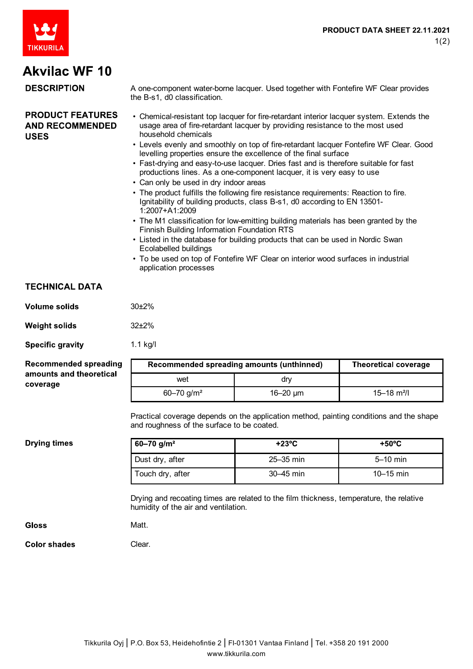

# **Akvilac WF 10**

#### **DESCRIPTION** A one-component water-borne lacquer. Used together with Fontefire WF Clear provides the B-s1, d0 classification. **PRODUCT FEATURES** • Chemical-resistant top lacquer for fire-retardant interior lacquer system. Extends the **AND RECOMMENDED** usage area of fire-retardant lacquer by providing resistance to the most used household chemicals **USES** • Levels evenly and smoothly on top of fire-retardant lacquer Fontefire WF Clear. Good levelling properties ensure the excellence of the final surface • Fast-drying and easy-to-use lacquer. Dries fast and is therefore suitable for fast productions lines. As a one-component lacquer, it is very easy to use • Can only be used in dry indoor areas • The product fulfills the following fire resistance requirements: Reaction to fire. Ignitability of building products, class B-s1, d0 according to EN 13501- 1:2007+A1:2009 • The M1 classification for low-emitting building materials has been granted by the Finnish Building Information Foundation RTS • Listed in the database for building products that can be used in Nordic Swan Ecolabelled buildings

• To be used on top of Fontefire WF Clear on interior wood surfaces in industrial application processes

## **TECHNICAL DATA**

| Volume solids | 30 <sub>±</sub> 2% |
|---------------|--------------------|
|---------------|--------------------|

**Weight solids** 32±2%

1.1 kg/l

Clear.

**Specific gravity** 

### **Recommended spreading** amounts and theoretical coverage

|                            | Recommended spreading amounts (unthinned) | <b>Theoretical coverage</b> |
|----------------------------|-------------------------------------------|-----------------------------|
| wet                        | drv                                       |                             |
| $60 - 70$ g/m <sup>2</sup> | 16–20 $\mu$ m                             | 15–18 m <sup>2</sup> /l     |

Practical coverage depends on the application method, painting conditions and the shape and roughness of the surface to be coated.

**Drying times** 

| $60 - 70$ g/m <sup>2</sup> | $+23^{\circ}$ C | $+50^{\circ}$ C |
|----------------------------|-----------------|-----------------|
| Dust dry, after            | $25 - 35$ min   | $5-10$ min      |
| Touch dry, after           | 30–45 min       | $10 - 15$ min   |

Drying and recoating times are related to the film thickness, temperature, the relative humidity of the air and ventilation.

| Gloss | Matt. |
|-------|-------|
|-------|-------|

**Color shades**